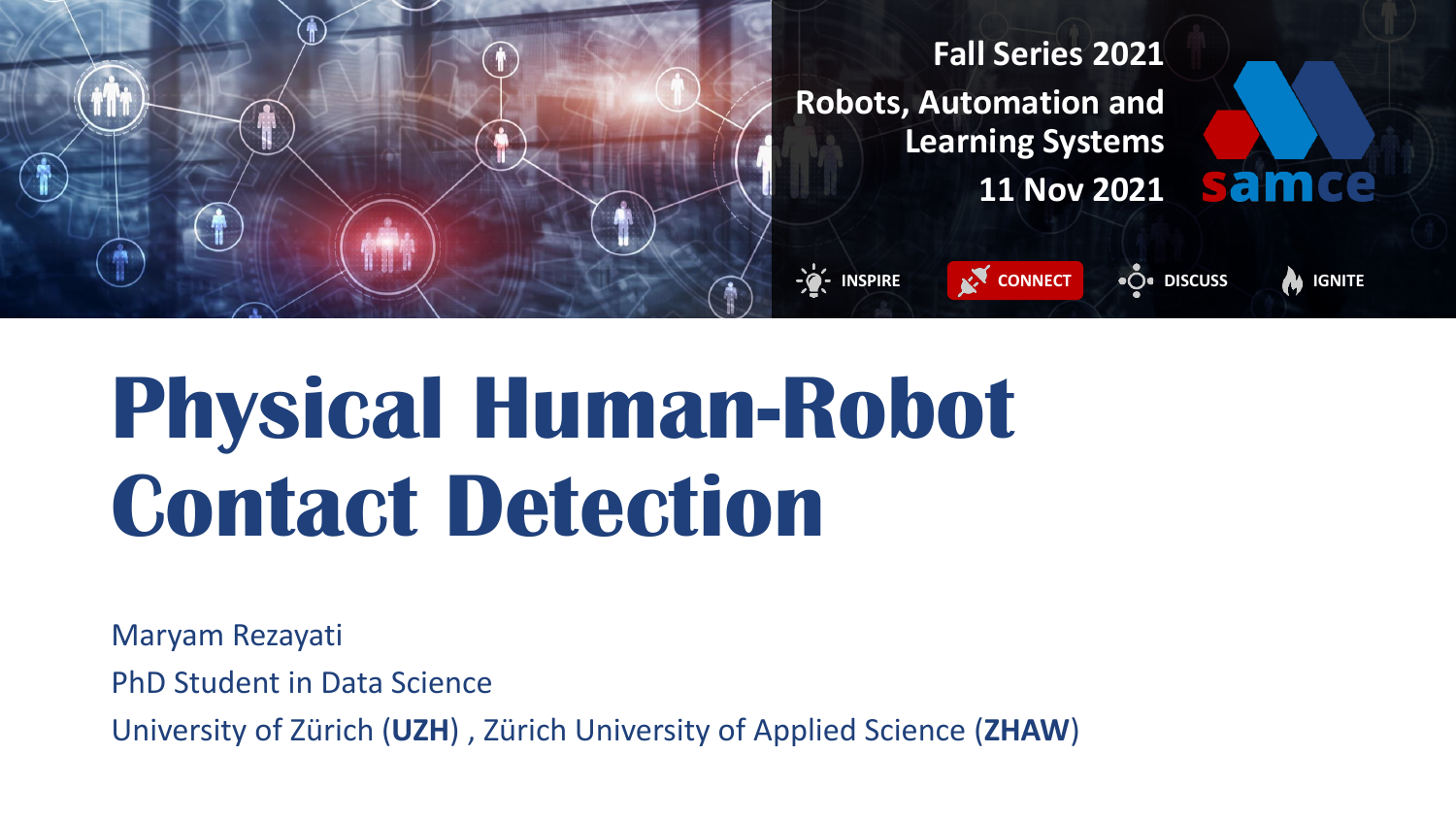

# **Physical Human-Robot Contact Detection**

Maryam Rezayati PhD Student in Data Science

University of Zürich (**UZH**) , Zürich University of Applied Science (**ZHAW**)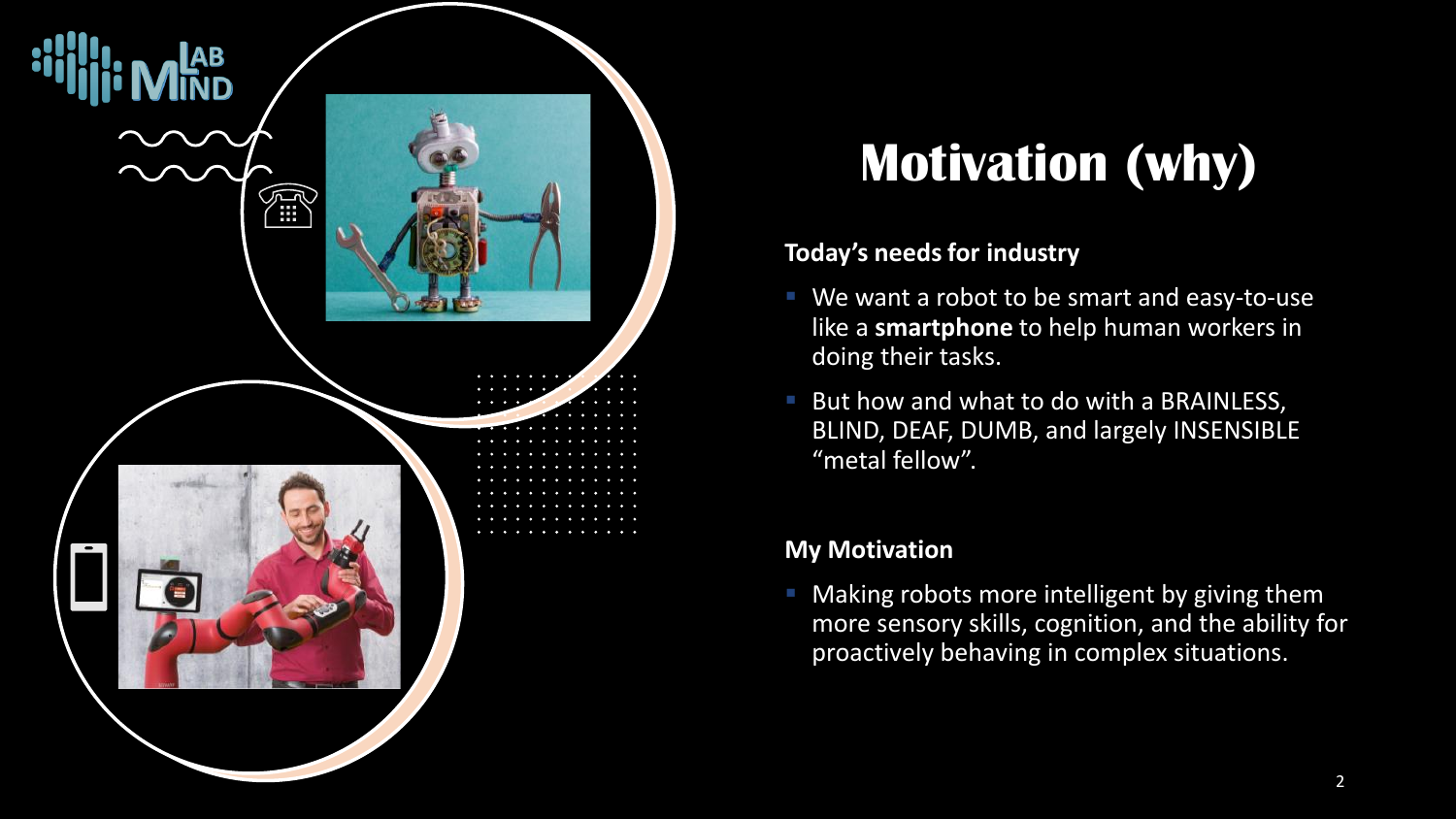

### **Motivation (why)**

#### **Today's needs for industry**

- We want a robot to be smart and easy-to-use like a **smartphone** to help human workers in doing their tasks.
- But how and what to do with a BRAINLESS, BLIND, DEAF, DUMB, and largely INSENSIBLE "metal fellow".

#### **My Motivation**

Making robots more intelligent by giving them more sensory skills, cognition, and the ability for proactively behaving in complex situations.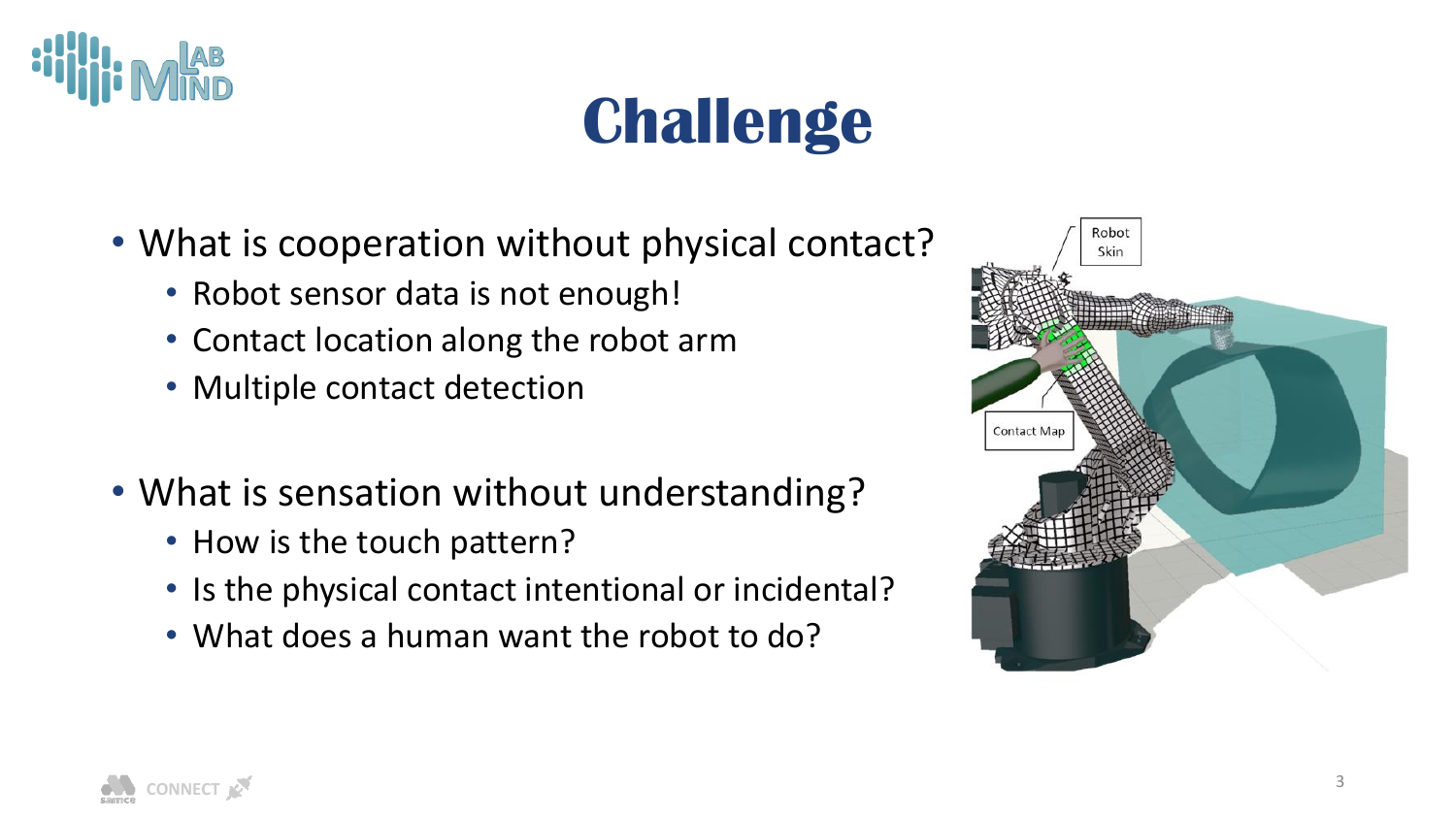

## **Challenge**

- What is cooperation without physical contact?
	- Robot sensor data is not enough!
	- Contact location along the robot arm
	- Multiple contact detection
- What is sensation without understanding?
	- How is the touch pattern?
	- Is the physical contact intentional or incidental?
	- What does a human want the robot to do?



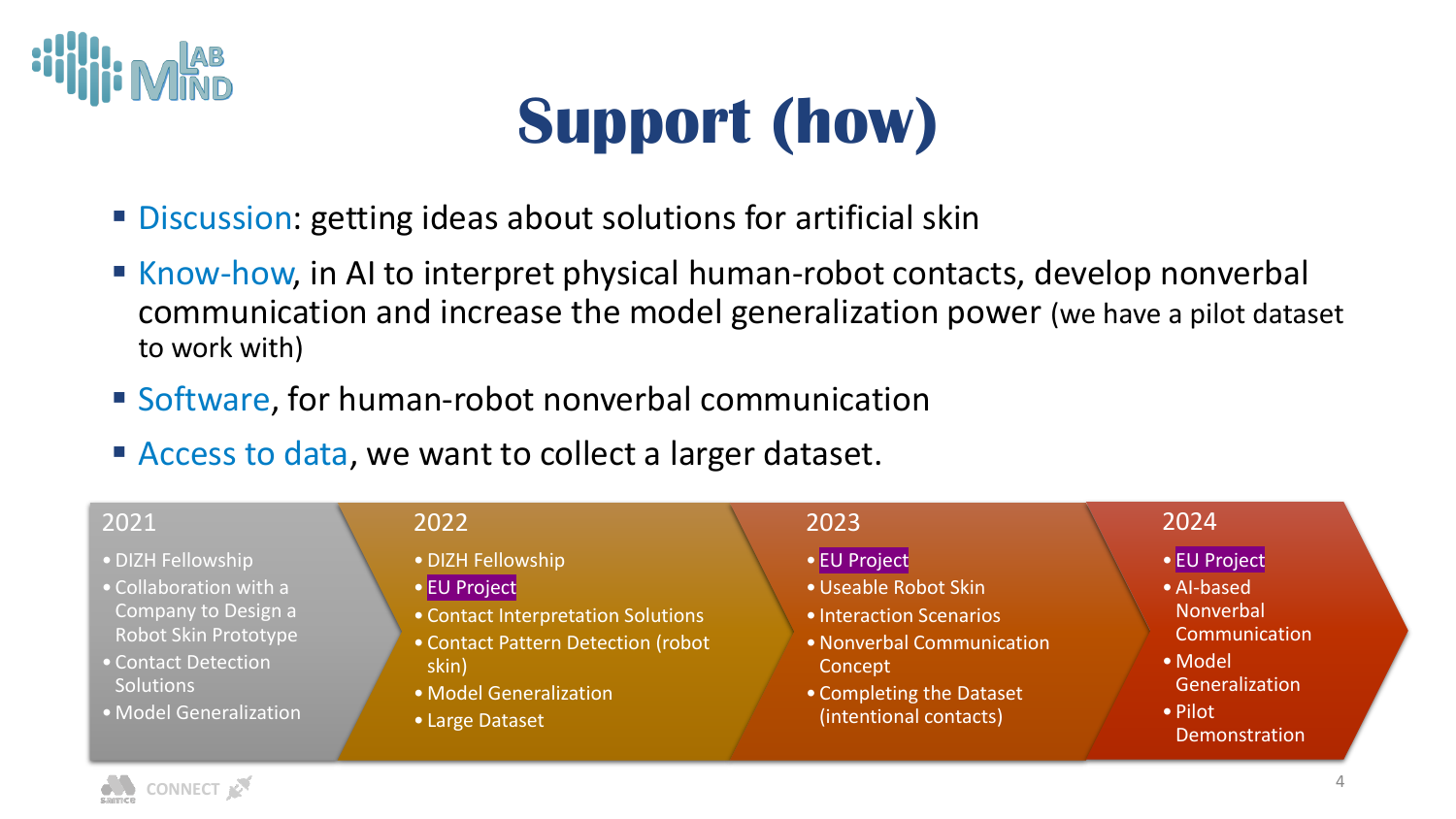

# **Support (how)**

- Discussion: getting ideas about solutions for artificial skin
- Know-how, in AI to interpret physical human-robot contacts, develop nonverbal communication and increase the model generalization power (we have a pilot dataset to work with)
- Software, for human-robot nonverbal communication
- Access to data, we want to collect a larger dataset.

| 2021                                                                                                                                                     | 2022                                                                                                                                                                | 2023                                                                                                                                                          | 2024                                                                                                                     |
|----------------------------------------------------------------------------------------------------------------------------------------------------------|---------------------------------------------------------------------------------------------------------------------------------------------------------------------|---------------------------------------------------------------------------------------------------------------------------------------------------------------|--------------------------------------------------------------------------------------------------------------------------|
| • DIZH Fellowship<br>• Collaboration with a<br>Company to Design a<br>Robot Skin Prototype<br>• Contact Detection<br>Solutions<br>• Model Generalization | • DIZH Fellowship<br>• EU Project<br>• Contact Interpretation Solutions<br>• Contact Pattern Detection (robot<br>skin)<br>• Model Generalization<br>• Large Dataset | • EU Project<br>· Useable Robot Skin<br>• Interaction Scenarios<br>• Nonverbal Communication<br>Concept<br>• Completing the Dataset<br>(intentional contacts) | • EU Project<br>• Al-based<br>Nonverbal<br>Communication<br>• Model<br>Generalization<br>• Pilot<br><b>Demonstration</b> |